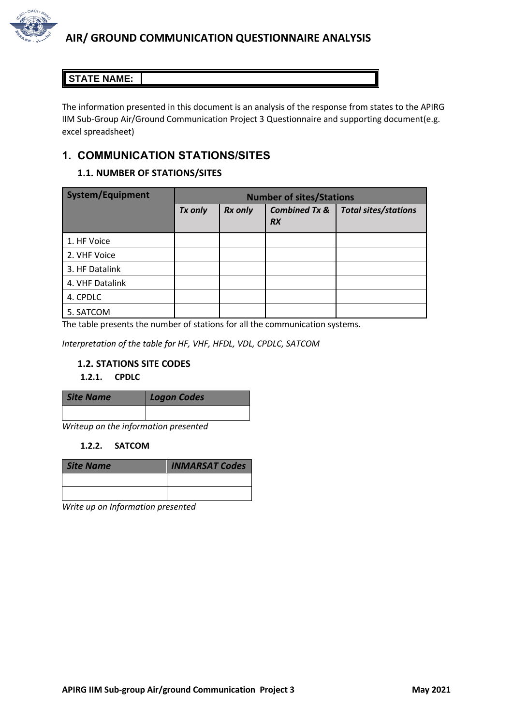

# **STATE NAME:**

The information presented in this document is an analysis of the response from states to the APIRG IIM Sub-Group Air/Ground Communication Project 3 Questionnaire and supporting document(e.g. excel spreadsheet)

# **1. COMMUNICATION STATIONS/SITES**

# **1.1. NUMBER OF STATIONS/SITES**

| <b>System/Equipment</b> | <b>Number of sites/Stations</b> |                |                                       |                             |
|-------------------------|---------------------------------|----------------|---------------------------------------|-----------------------------|
|                         | Tx only                         | <b>Rx only</b> | <b>Combined Tx &amp;</b><br><b>RX</b> | <b>Total sites/stations</b> |
| 1. HF Voice             |                                 |                |                                       |                             |
| 2. VHF Voice            |                                 |                |                                       |                             |
| 3. HF Datalink          |                                 |                |                                       |                             |
| 4. VHF Datalink         |                                 |                |                                       |                             |
| 4. CPDLC                |                                 |                |                                       |                             |
| 5. SATCOM               |                                 |                |                                       |                             |

The table presents the number of stations for all the communication systems.

*Interpretation of the table for HF, VHF, HFDL, VDL, CPDLC, SATCOM*

### **1.2. STATIONS SITE CODES**

### **1.2.1. CPDLC**

*Writeup on the information presented*

#### **1.2.2. SATCOM**

| Site Name | <b>INMARSAT Codes</b> |
|-----------|-----------------------|
|           |                       |
|           |                       |

*Write up on Information presented*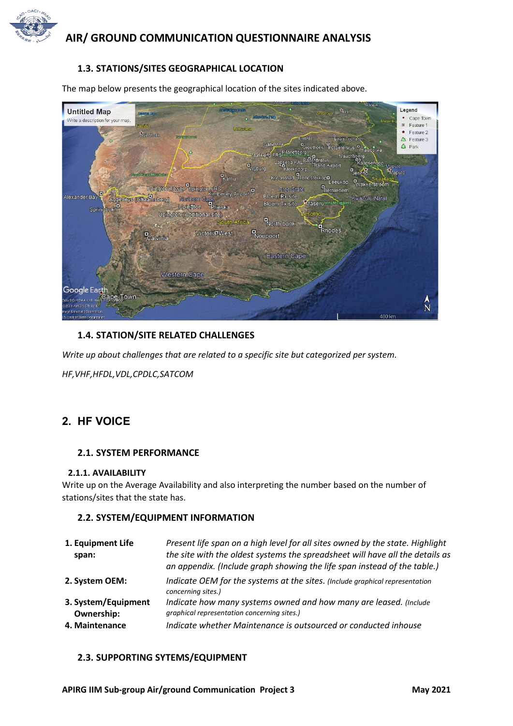

### **1.3. STATIONS/SITES GEOGRAPHICAL LOCATION**

The map below presents the geographical location of the sites indicated above.



#### **1.4. STATION/SITE RELATED CHALLENGES**

*Write up about challenges that are related to a specific site but categorized per system.*

*HF,VHF,HFDL,VDL,CPDLC,SATCOM*

# **2. HF VOICE**

#### **2.1. SYSTEM PERFORMANCE**

#### **2.1.1. AVAILABILITY**

Write up on the Average Availability and also interpreting the number based on the number of stations/sites that the state has.

#### **2.2. SYSTEM/EQUIPMENT INFORMATION**

| 1. Equipment Life<br>span:                                 | Present life span on a high level for all sites owned by the state. Highlight<br>the site with the oldest systems the spreadsheet will have all the details as<br>an appendix. (Include graph showing the life span instead of the table.) |
|------------------------------------------------------------|--------------------------------------------------------------------------------------------------------------------------------------------------------------------------------------------------------------------------------------------|
| 2. System OEM:                                             | Indicate OEM for the systems at the sites. (Include graphical representation<br>concerning sites.)                                                                                                                                         |
| 3. System/Equipment<br><b>Ownership:</b><br>4. Maintenance | Indicate how many systems owned and how many are leased. (Include<br>graphical representation concerning sites.)<br>Indicate whether Maintenance is outsourced or conducted inhouse                                                        |

#### **2.3. SUPPORTING SYTEMS/EQUIPMENT**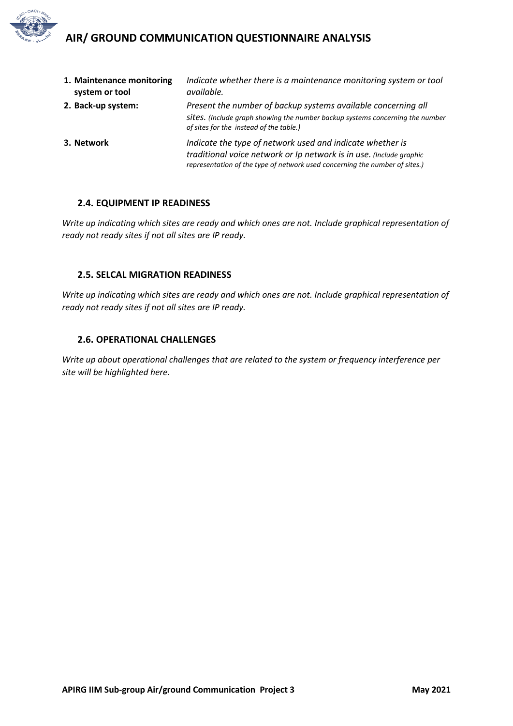

| 1. Maintenance monitoring<br>system or tool | Indicate whether there is a maintenance monitoring system or tool<br>available.                                                                                                                                 |
|---------------------------------------------|-----------------------------------------------------------------------------------------------------------------------------------------------------------------------------------------------------------------|
| 2. Back-up system:                          | Present the number of backup systems available concerning all<br>sites. (Include graph showing the number backup systems concerning the number<br>of sites for the instead of the table.)                       |
| 3. Network                                  | Indicate the type of network used and indicate whether is<br>traditional voice network or Ip network is in use. (Include graphic<br>representation of the type of network used concerning the number of sites.) |

#### **2.4. EQUIPMENT IP READINESS**

*Write up indicating which sites are ready and which ones are not. Include graphical representation of ready not ready sites if not all sites are IP ready.*

### **2.5. SELCAL MIGRATION READINESS**

*Write up indicating which sites are ready and which ones are not. Include graphical representation of ready not ready sites if not all sites are IP ready.*

#### **2.6. OPERATIONAL CHALLENGES**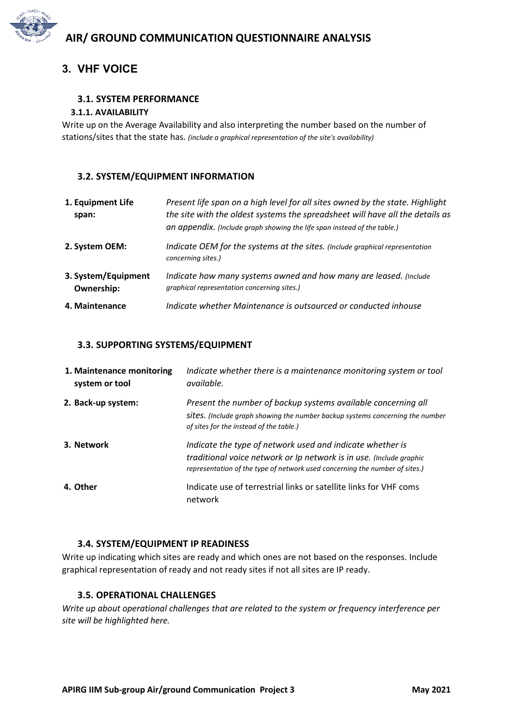

# **3. VHF VOICE**

# **3.1. SYSTEM PERFORMANCE**

# **3.1.1. AVAILABILITY**

Write up on the Average Availability and also interpreting the number based on the number of stations/sites that the state has. *(include a graphical representation of the site's availability)*

# **3.2. SYSTEM/EQUIPMENT INFORMATION**

| 1. Equipment Life<br>span:               | Present life span on a high level for all sites owned by the state. Highlight<br>the site with the oldest systems the spreadsheet will have all the details as<br>an appendix. (Include graph showing the life span instead of the table.) |
|------------------------------------------|--------------------------------------------------------------------------------------------------------------------------------------------------------------------------------------------------------------------------------------------|
| 2. System OEM:                           | Indicate OEM for the systems at the sites. (Include graphical representation<br>concerning sites.)                                                                                                                                         |
| 3. System/Equipment<br><b>Ownership:</b> | Indicate how many systems owned and how many are leased. (Include<br>graphical representation concerning sites.)                                                                                                                           |
| 4. Maintenance                           | Indicate whether Maintenance is outsourced or conducted inhouse                                                                                                                                                                            |

# **3.3. SUPPORTING SYSTEMS/EQUIPMENT**

| 1. Maintenance monitoring<br>system or tool | Indicate whether there is a maintenance monitoring system or tool<br>available.                                                                                                                                 |
|---------------------------------------------|-----------------------------------------------------------------------------------------------------------------------------------------------------------------------------------------------------------------|
| 2. Back-up system:                          | Present the number of backup systems available concerning all<br>sites. (Include graph showing the number backup systems concerning the number<br>of sites for the instead of the table.)                       |
| 3. Network                                  | Indicate the type of network used and indicate whether is<br>traditional voice network or Ip network is in use. (Include graphic<br>representation of the type of network used concerning the number of sites.) |
| 4. Other                                    | Indicate use of terrestrial links or satellite links for VHF coms<br>network                                                                                                                                    |

# **3.4. SYSTEM/EQUIPMENT IP READINESS**

Write up indicating which sites are ready and which ones are not based on the responses. Include graphical representation of ready and not ready sites if not all sites are IP ready.

# **3.5. OPERATIONAL CHALLENGES**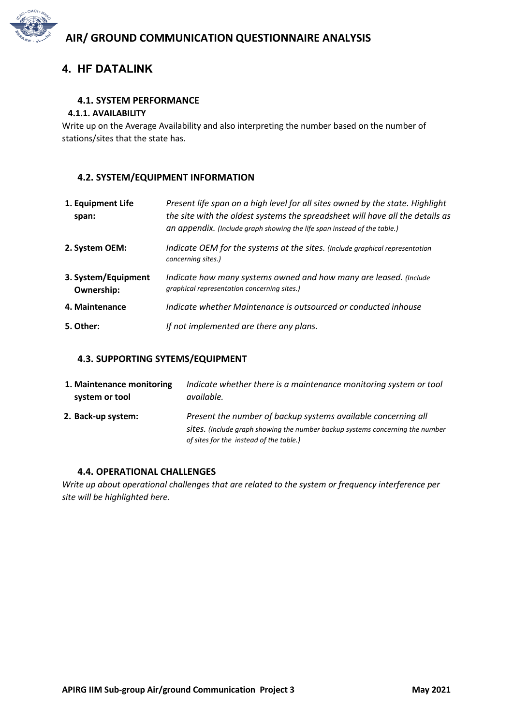

# **4. HF DATALINK**

### **4.1. SYSTEM PERFORMANCE**

#### **4.1.1. AVAILABILITY**

Write up on the Average Availability and also interpreting the number based on the number of stations/sites that the state has.

### **4.2. SYSTEM/EQUIPMENT INFORMATION**

| 1. Equipment Life<br>span:               | Present life span on a high level for all sites owned by the state. Highlight<br>the site with the oldest systems the spreadsheet will have all the details as<br>an appendix. (Include graph showing the life span instead of the table.) |
|------------------------------------------|--------------------------------------------------------------------------------------------------------------------------------------------------------------------------------------------------------------------------------------------|
| 2. System OEM:                           | Indicate OEM for the systems at the sites. (Include graphical representation<br>concerning sites.)                                                                                                                                         |
| 3. System/Equipment<br><b>Ownership:</b> | Indicate how many systems owned and how many are leased. (Include<br>graphical representation concerning sites.)                                                                                                                           |
| 4. Maintenance                           | Indicate whether Maintenance is outsourced or conducted inhouse                                                                                                                                                                            |
| 5. Other:                                | If not implemented are there any plans.                                                                                                                                                                                                    |

### **4.3. SUPPORTING SYTEMS/EQUIPMENT**

| 1. Maintenance monitoring | Indicate whether there is a maintenance monitoring system or tool                                                                                                                         |
|---------------------------|-------------------------------------------------------------------------------------------------------------------------------------------------------------------------------------------|
| system or tool            | available.                                                                                                                                                                                |
| 2. Back-up system:        | Present the number of backup systems available concerning all<br>sites. (Include graph showing the number backup systems concerning the number<br>of sites for the instead of the table.) |

### **4.4. OPERATIONAL CHALLENGES**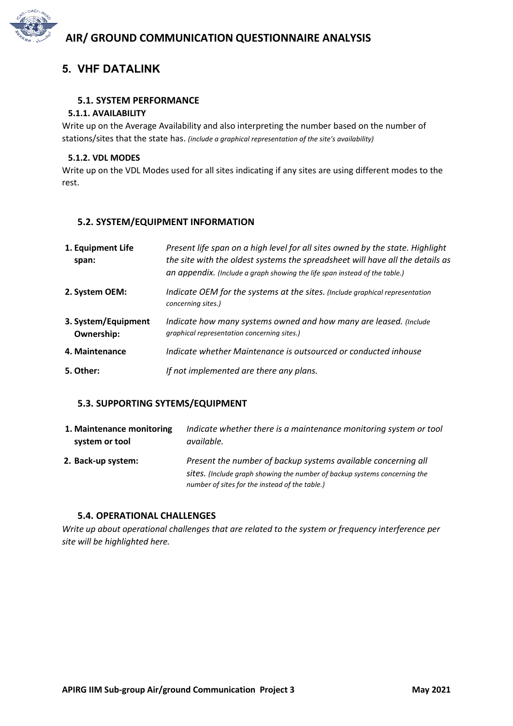

# **5. VHF DATALINK**

### **5.1. SYSTEM PERFORMANCE**

### **5.1.1. AVAILABILITY**

Write up on the Average Availability and also interpreting the number based on the number of stations/sites that the state has. *(include a graphical representation of the site's availability)*

### **5.1.2. VDL MODES**

Write up on the VDL Modes used for all sites indicating if any sites are using different modes to the rest.

### **5.2. SYSTEM/EQUIPMENT INFORMATION**

| 1. Equipment Life<br>span:        | Present life span on a high level for all sites owned by the state. Highlight<br>the site with the oldest systems the spreadsheet will have all the details as<br>an appendix. (Include a graph showing the life span instead of the table.) |
|-----------------------------------|----------------------------------------------------------------------------------------------------------------------------------------------------------------------------------------------------------------------------------------------|
| 2. System OEM:                    | Indicate OEM for the systems at the sites. (Include graphical representation<br>concerning sites.)                                                                                                                                           |
| 3. System/Equipment<br>Ownership: | Indicate how many systems owned and how many are leased. (Include<br>graphical representation concerning sites.)                                                                                                                             |
| 4. Maintenance                    | Indicate whether Maintenance is outsourced or conducted inhouse                                                                                                                                                                              |
| 5. Other:                         | If not implemented are there any plans.                                                                                                                                                                                                      |

### **5.3. SUPPORTING SYTEMS/EQUIPMENT**

| 1. Maintenance monitoring | Indicate whether there is a maintenance monitoring system or tool                                                                                                                            |
|---------------------------|----------------------------------------------------------------------------------------------------------------------------------------------------------------------------------------------|
| system or tool            | available.                                                                                                                                                                                   |
| 2. Back-up system:        | Present the number of backup systems available concerning all<br>sites. (Include graph showing the number of backup systems concerning the<br>number of sites for the instead of the table.) |

### **5.4. OPERATIONAL CHALLENGES**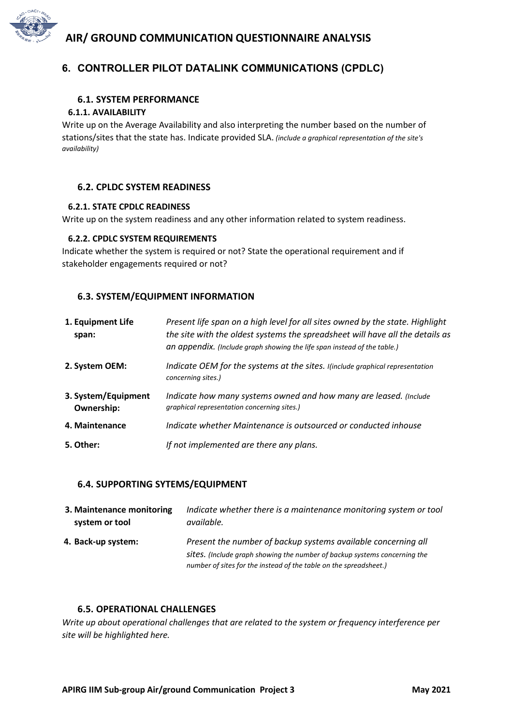

# **6. CONTROLLER PILOT DATALINK COMMUNICATIONS (CPDLC)**

### **6.1. SYSTEM PERFORMANCE**

#### **6.1.1. AVAILABILITY**

Write up on the Average Availability and also interpreting the number based on the number of stations/sites that the state has. Indicate provided SLA. *(include a graphical representation of the site's availability)*

#### **6.2. CPLDC SYSTEM READINESS**

#### **6.2.1. STATE CPDLC READINESS**

Write up on the system readiness and any other information related to system readiness.

#### **6.2.2. CPDLC SYSTEM REQUIREMENTS**

Indicate whether the system is required or not? State the operational requirement and if stakeholder engagements required or not?

#### **6.3. SYSTEM/EQUIPMENT INFORMATION**

| 1. Equipment Life<br>span:               | Present life span on a high level for all sites owned by the state. Highlight<br>the site with the oldest systems the spreadsheet will have all the details as<br>an appendix. (Include graph showing the life span instead of the table.) |
|------------------------------------------|--------------------------------------------------------------------------------------------------------------------------------------------------------------------------------------------------------------------------------------------|
| 2. System OEM:                           | Indicate OEM for the systems at the sites. I(include graphical representation<br>concerning sites.)                                                                                                                                        |
| 3. System/Equipment<br><b>Ownership:</b> | Indicate how many systems owned and how many are leased. (Include<br>graphical representation concerning sites.)                                                                                                                           |
| 4. Maintenance                           | Indicate whether Maintenance is outsourced or conducted inhouse                                                                                                                                                                            |
| 5. Other:                                | If not implemented are there any plans.                                                                                                                                                                                                    |

#### **6.4. SUPPORTING SYTEMS/EQUIPMENT**

| 3. Maintenance monitoring | Indicate whether there is a maintenance monitoring system or tool                                                                                                                                               |
|---------------------------|-----------------------------------------------------------------------------------------------------------------------------------------------------------------------------------------------------------------|
| system or tool            | available.                                                                                                                                                                                                      |
| 4. Back-up system:        | Present the number of backup systems available concerning all<br>sites. (Include graph showing the number of backup systems concerning the<br>number of sites for the instead of the table on the spreadsheet.) |

#### **6.5. OPERATIONAL CHALLENGES**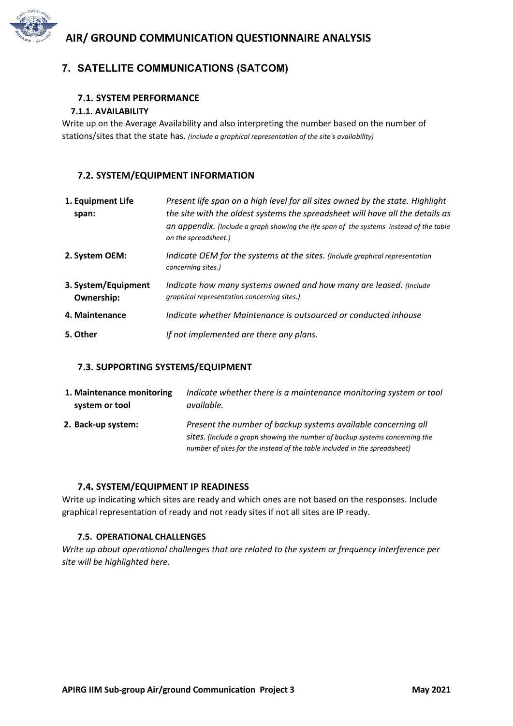

#### **7.1. SYSTEM PERFORMANCE**

#### **7.1.1. AVAILABILITY**

Write up on the Average Availability and also interpreting the number based on the number of stations/sites that the state has. *(include a graphical representation of the site's availability)*

### **7.2. SYSTEM/EQUIPMENT INFORMATION**

| 1. Equipment Life<br>span:               | Present life span on a high level for all sites owned by the state. Highlight<br>the site with the oldest systems the spreadsheet will have all the details as<br>an appendix. (Include a graph showing the life span of the systems instead of the table<br>on the spreadsheet.) |
|------------------------------------------|-----------------------------------------------------------------------------------------------------------------------------------------------------------------------------------------------------------------------------------------------------------------------------------|
| 2. System OEM:                           | Indicate OEM for the systems at the sites. (Include graphical representation<br>concerning sites.)                                                                                                                                                                                |
| 3. System/Equipment<br><b>Ownership:</b> | Indicate how many systems owned and how many are leased. (Include<br>graphical representation concerning sites.)                                                                                                                                                                  |
| 4. Maintenance                           | Indicate whether Maintenance is outsourced or conducted inhouse                                                                                                                                                                                                                   |
| 5. Other                                 | If not implemented are there any plans.                                                                                                                                                                                                                                           |

### **7.3. SUPPORTING SYSTEMS/EQUIPMENT**

| 1. Maintenance monitoring | Indicate whether there is a maintenance monitoring system or tool                                                                                                                                                         |
|---------------------------|---------------------------------------------------------------------------------------------------------------------------------------------------------------------------------------------------------------------------|
| system or tool            | available.                                                                                                                                                                                                                |
| 2. Back-up system:        | Present the number of backup systems available concerning all<br>sites. (Include a graph showing the number of backup systems concerning the<br>number of sites for the instead of the table included in the spreadsheet) |

### **7.4. SYSTEM/EQUIPMENT IP READINESS**

Write up indicating which sites are ready and which ones are not based on the responses. Include graphical representation of ready and not ready sites if not all sites are IP ready.

### **7.5. OPERATIONAL CHALLENGES**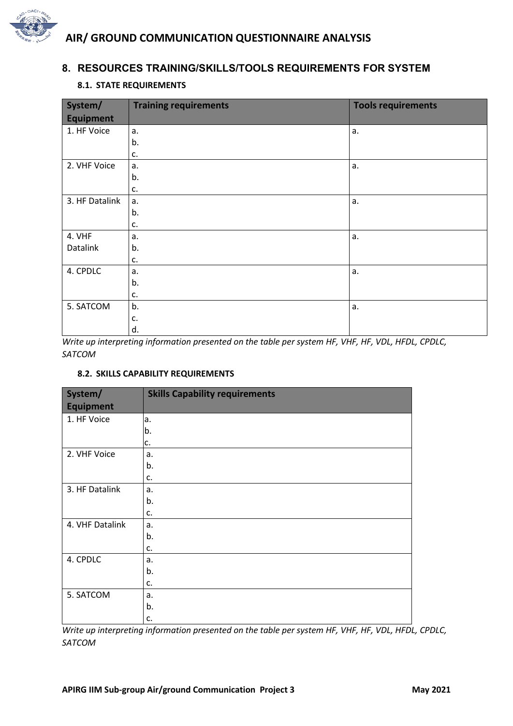

# **8. RESOURCES TRAINING/SKILLS/TOOLS REQUIREMENTS FOR SYSTEM**

### **8.1. STATE REQUIREMENTS**

| System/<br><b>Equipment</b> | <b>Training requirements</b> | <b>Tools requirements</b> |
|-----------------------------|------------------------------|---------------------------|
| 1. HF Voice                 | a.                           | a.                        |
|                             | b.                           |                           |
|                             | c.                           |                           |
| 2. VHF Voice                | a.                           | a.                        |
|                             |                              |                           |
|                             | b.                           |                           |
|                             | c.                           |                           |
| 3. HF Datalink              | a.                           | a.                        |
|                             | b.                           |                           |
|                             | c.                           |                           |
| 4. VHF                      | a.                           | a.                        |
| Datalink                    | b.                           |                           |
|                             | c.                           |                           |
| 4. CPDLC                    | а.                           | a.                        |
|                             | b.                           |                           |
|                             | c.                           |                           |
| 5. SATCOM                   | b.                           | a.                        |
|                             | c.                           |                           |
|                             | d.                           |                           |

*Write up interpreting information presented on the table per system HF, VHF, HF, VDL, HFDL, CPDLC, SATCOM*

### **8.2. SKILLS CAPABILITY REQUIREMENTS**

| System/          | <b>Skills Capability requirements</b> |
|------------------|---------------------------------------|
| <b>Equipment</b> |                                       |
| 1. HF Voice      | a.                                    |
|                  | b.                                    |
|                  | c.                                    |
| 2. VHF Voice     | a.                                    |
|                  | b.                                    |
|                  | c.                                    |
| 3. HF Datalink   | a.                                    |
|                  | b.                                    |
|                  | c.                                    |
| 4. VHF Datalink  | a.                                    |
|                  | b.                                    |
|                  | c.                                    |
| 4. CPDLC         | a.                                    |
|                  | b.                                    |
|                  | c.                                    |
| 5. SATCOM        | a.                                    |
|                  | b.                                    |
|                  | c.                                    |

*Write up interpreting information presented on the table per system HF, VHF, HF, VDL, HFDL, CPDLC, SATCOM*